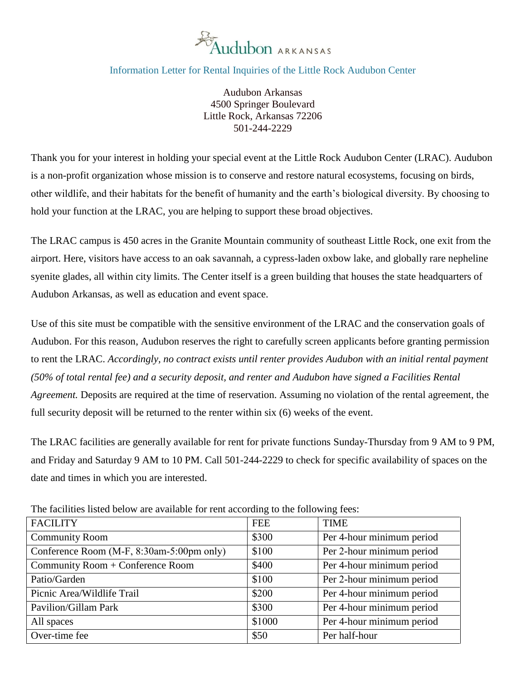

## Information Letter for Rental Inquiries of the Little Rock Audubon Center

Audubon Arkansas 4500 Springer Boulevard Little Rock, Arkansas 72206 501-244-2229

Thank you for your interest in holding your special event at the Little Rock Audubon Center (LRAC). Audubon is a non-profit organization whose mission is to conserve and restore natural ecosystems, focusing on birds, other wildlife, and their habitats for the benefit of humanity and the earth's biological diversity. By choosing to hold your function at the LRAC, you are helping to support these broad objectives.

The LRAC campus is 450 acres in the Granite Mountain community of southeast Little Rock, one exit from the airport. Here, visitors have access to an oak savannah, a cypress-laden oxbow lake, and globally rare nepheline syenite glades, all within city limits. The Center itself is a green building that houses the state headquarters of Audubon Arkansas, as well as education and event space.

Use of this site must be compatible with the sensitive environment of the LRAC and the conservation goals of Audubon. For this reason, Audubon reserves the right to carefully screen applicants before granting permission to rent the LRAC. *Accordingly, no contract exists until renter provides Audubon with an initial rental payment (50% of total rental fee) and a security deposit, and renter and Audubon have signed a Facilities Rental Agreement.* Deposits are required at the time of reservation. Assuming no violation of the rental agreement, the full security deposit will be returned to the renter within six (6) weeks of the event.

The LRAC facilities are generally available for rent for private functions Sunday-Thursday from 9 AM to 9 PM, and Friday and Saturday 9 AM to 10 PM. Call 501-244-2229 to check for specific availability of spaces on the date and times in which you are interested.

| The number hole of the attenuate for full according to the following feed. |            |                           |
|----------------------------------------------------------------------------|------------|---------------------------|
| <b>FACILITY</b>                                                            | <b>FEE</b> | <b>TIME</b>               |
| <b>Community Room</b>                                                      | \$300      | Per 4-hour minimum period |
| Conference Room (M-F, $8:30$ am-5:00pm only)                               | \$100      | Per 2-hour minimum period |
| Community Room + Conference Room                                           | \$400      | Per 4-hour minimum period |
| Patio/Garden                                                               | \$100      | Per 2-hour minimum period |
| Picnic Area/Wildlife Trail                                                 | \$200      | Per 4-hour minimum period |
| Pavilion/Gillam Park                                                       | \$300      | Per 4-hour minimum period |
| All spaces                                                                 | \$1000     | Per 4-hour minimum period |
| Over-time fee                                                              | \$50       | Per half-hour             |

The facilities listed below are available for rent according to the following fees: